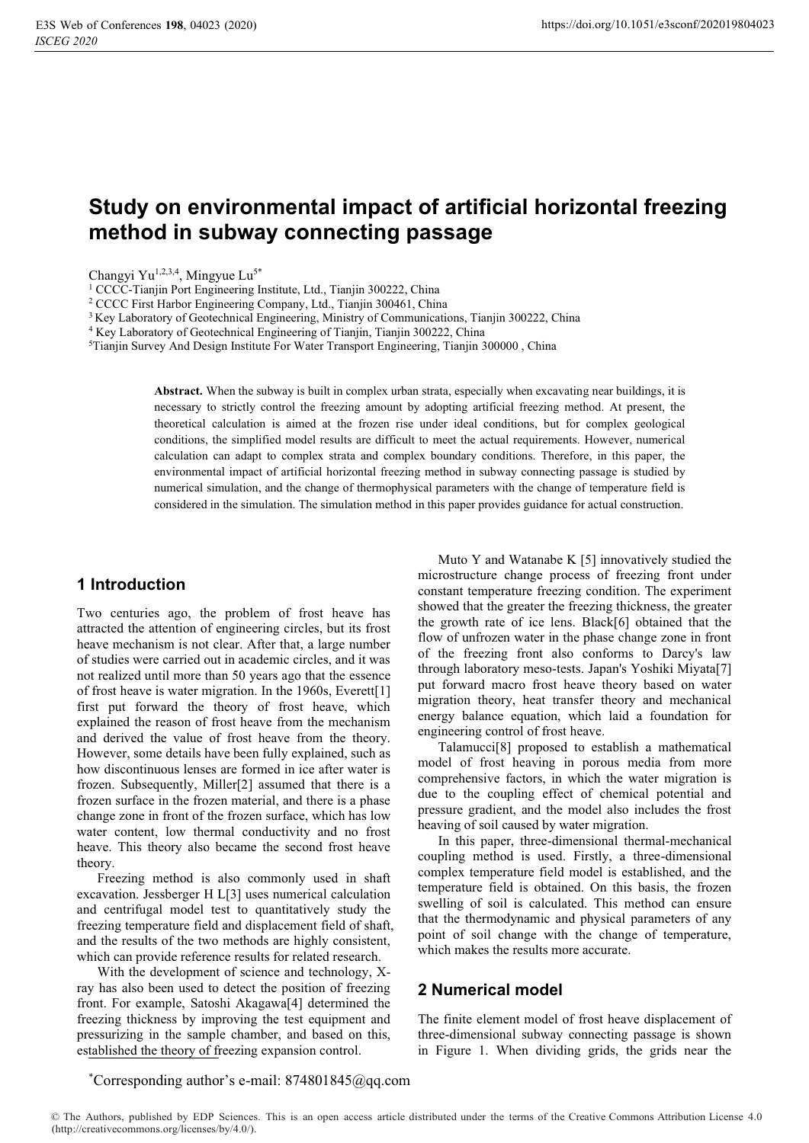# **Study on environmental impact of artificial horizontal freezing method in subway connecting passage**

Changyi Yu<sup>1,2,3,4</sup>, Mingyue Lu<sup>5\*</sup>

<sup>1</sup> CCCC-Tianjin Port Engineering Institute, Ltd., Tianjin 300222, China<br><sup>2</sup> CCCC First Harbor Engineering Company, Ltd., Tianjin 300461, China

<sup>3</sup> Key Laboratory of Geotechnical Engineering, Ministry of Communications, Tianjin 300222, China

4 Key Laboratory of Geotechnical Engineering of Tianjin, Tianjin 300222, China

5 Tianjin Survey And Design Institute For Water Transport Engineering, Tianjin 300000 , China

**Abstract.** When the subway is built in complex urban strata, especially when excavating near buildings, it is necessary to strictly control the freezing amount by adopting artificial freezing method. At present, the theoretical calculation is aimed at the frozen rise under ideal conditions, but for complex geological conditions, the simplified model results are difficult to meet the actual requirements. However, numerical calculation can adapt to complex strata and complex boundary conditions. Therefore, in this paper, the environmental impact of artificial horizontal freezing method in subway connecting passage is studied by numerical simulation, and the change of thermophysical parameters with the change of temperature field is considered in the simulation. The simulation method in this paper provides guidance for actual construction.

#### **1 Introduction**

Two centuries ago, the problem of frost heave has attracted the attention of engineering circles, but its frost heave mechanism is not clear. After that, a large number of studies were carried out in academic circles, and it was not realized until more than 50 years ago that the essence of frost heave is water migration. In the 1960s, Everett[1] first put forward the theory of frost heave, which explained the reason of frost heave from the mechanism and derived the value of frost heave from the theory. However, some details have been fully explained, such as how discontinuous lenses are formed in ice after water is frozen. Subsequently, Miller[2] assumed that there is a frozen surface in the frozen material, and there is a phase change zone in front of the frozen surface, which has low water content, low thermal conductivity and no frost heave. This theory also became the second frost heave theory.

Freezing method is also commonly used in shaft excavation. Jessberger H L[3] uses numerical calculation and centrifugal model test to quantitatively study the freezing temperature field and displacement field of shaft, and the results of the two methods are highly consistent, which can provide reference results for related research.

With the development of science and technology, Xray has also been used to detect the position of freezing front. For example, Satoshi Akagawa[4] determined the freezing thickness by improving the test equipment and pressurizing in the sample chamber, and based on this, established the theory of freezing expansion control.

Muto Y and Watanabe K [5] innovatively studied the microstructure change process of freezing front under constant temperature freezing condition. The experiment showed that the greater the freezing thickness, the greater the growth rate of ice lens. Black[6] obtained that the flow of unfrozen water in the phase change zone in front of the freezing front also conforms to Darcy's law through laboratory meso-tests. Japan's Yoshiki Miyata[7] put forward macro frost heave theory based on water migration theory, heat transfer theory and mechanical energy balance equation, which laid a foundation for engineering control of frost heave.

Talamucci[8] proposed to establish a mathematical model of frost heaving in porous media from more comprehensive factors, in which the water migration is due to the coupling effect of chemical potential and pressure gradient, and the model also includes the frost heaving of soil caused by water migration.

In this paper, three-dimensional thermal-mechanical coupling method is used. Firstly, a three-dimensional complex temperature field model is established, and the temperature field is obtained. On this basis, the frozen swelling of soil is calculated. This method can ensure that the thermodynamic and physical parameters of any point of soil change with the change of temperature, which makes the results more accurate.

## **2 Numerical model**

The finite element model of frost heave displacement of three-dimensional subway connecting passage is shown in Figure 1. When dividing grids, the grids near the

\* Corresponding author's e-mail: 874801845@qq.com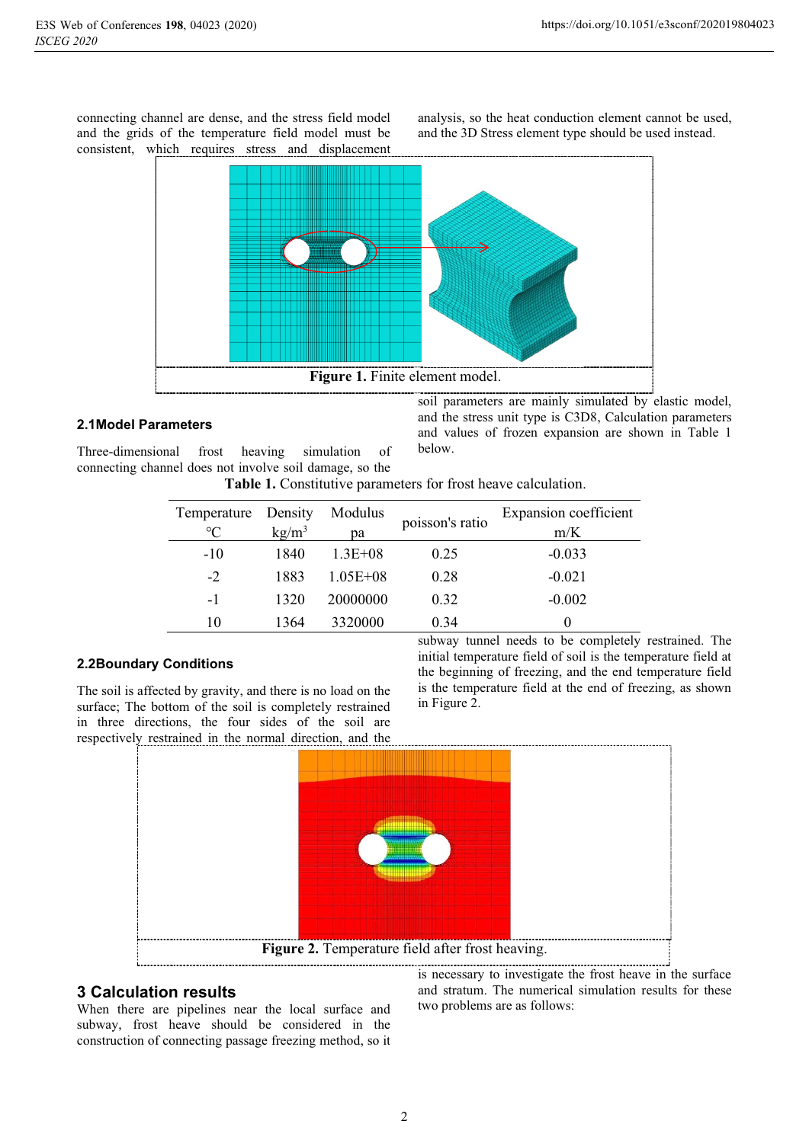connecting channel are dense, and the stress field model and the grids of the temperature field model must be consistent, which requires stress and displacement

analysis, so the heat conduction element cannot be used, and the 3D Stress element type should be used instead.



## **2.1Model Parameters**

Three-dimensional frost heaving simulation of connecting channel does not involve soil damage, so the soil parameters are mainly simulated by elastic model, and the stress unit type is C3D8, Calculation parameters and values of frozen expansion are shown in Table 1 below.

| Table 1. Constitutive parameters for frost heave calculation. |  |  |
|---------------------------------------------------------------|--|--|
|                                                               |  |  |

| Temperature     | Density         | Modulus      | poisson's ratio | Expansion coefficient |
|-----------------|-----------------|--------------|-----------------|-----------------------|
| $\rm ^{\circ}C$ | $\text{kg/m}^3$ | рa           |                 | m/K                   |
| $-10$           | 1840            | $1.3E + 0.8$ | 0.25            | $-0.033$              |
| $-2$            | 1883            | $1.05E + 08$ | 0.28            | $-0.021$              |
| $-1$            | 1320            | 20000000     | 0.32            | $-0.002$              |
| 10              | 1364            | 3320000      | 0.34            |                       |

#### **2.2Boundary Conditions**

The soil is affected by gravity, and there is no load on the surface; The bottom of the soil is completely restrained in three directions, the four sides of the soil are respectively restrained in the normal direction, and the subway tunnel needs to be completely restrained. The initial temperature field of soil is the temperature field at the beginning of freezing, and the end temperature field is the temperature field at the end of freezing, as shown in Figure 2.



## **3 Calculation results**

When there are pipelines near the local surface and subway, frost heave should be considered in the construction of connecting passage freezing method, so it

is necessary to investigate the frost heave in the surface and stratum. The numerical simulation results for these two problems are as follows: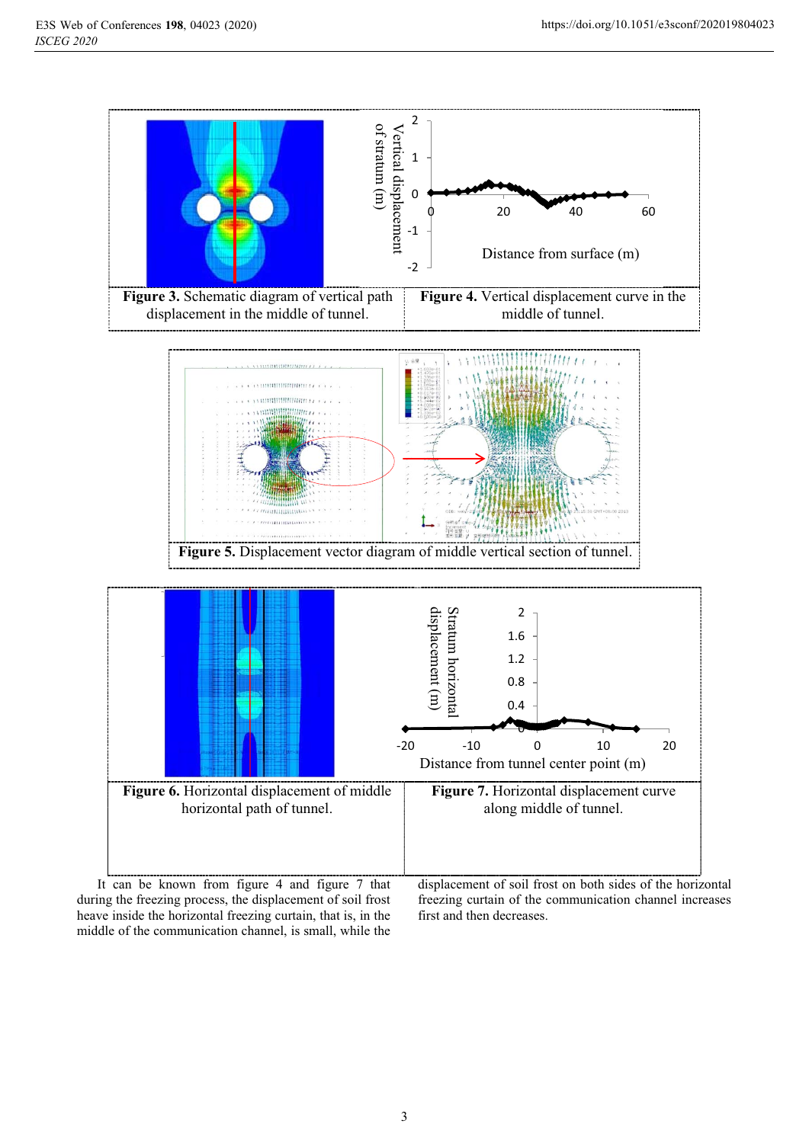

during the freezing process, the displacement of soil frost heave inside the horizontal freezing curtain, that is, in the middle of the communication channel, is small, while the

freezing curtain of the communication channel increases first and then decreases.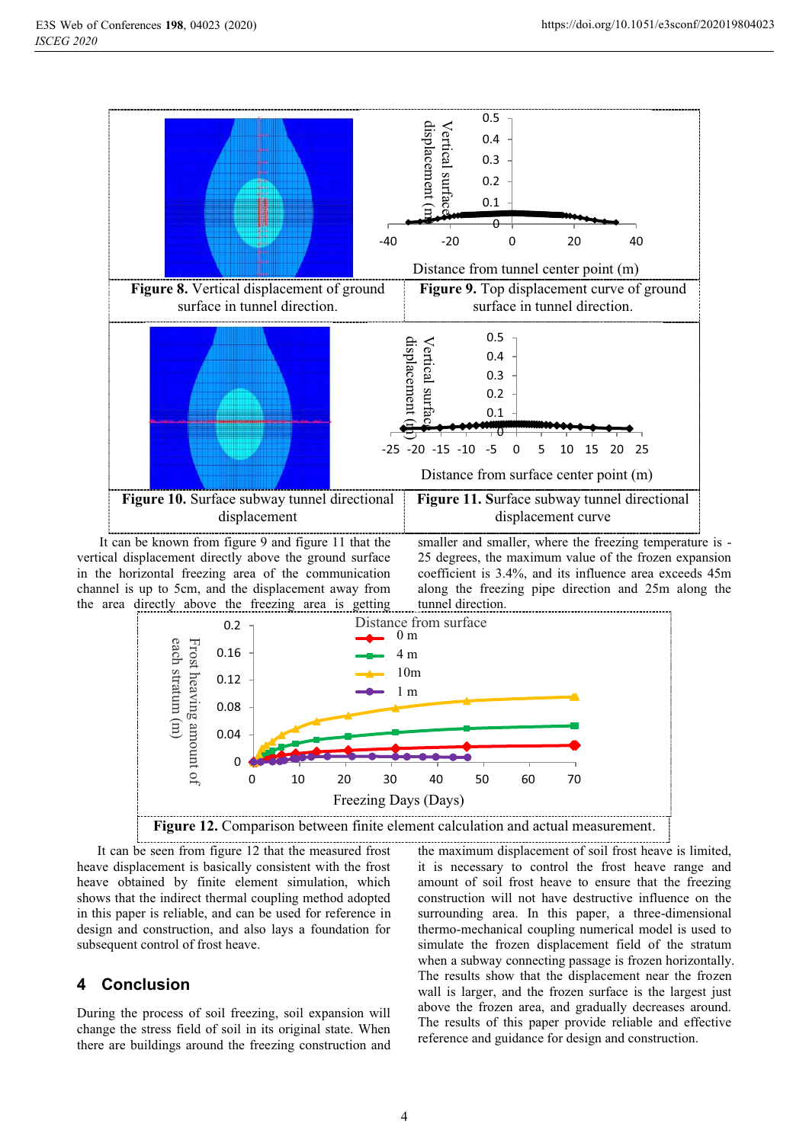

vertical displacement directly above the ground surface in the horizontal freezing area of the communication channel is up to 5cm, and the displacement away from the area directly above the freezing area is getting

smaller and smaller, where the freezing temperature is - 25 degrees, the maximum value of the frozen expansion coefficient is 3.4%, and its influence area exceeds 45m along the freezing pipe direction and 25m along the tunnel direction.



It can be seen from figure 12 that the measured frost heave displacement is basically consistent with the frost heave obtained by finite element simulation, which shows that the indirect thermal coupling method adopted in this paper is reliable, and can be used for reference in design and construction, and also lays a foundation for subsequent control of frost heave.

## **4 Conclusion**

During the process of soil freezing, soil expansion will change the stress field of soil in its original state. When there are buildings around the freezing construction and

the maximum displacement of soil frost heave is limited, it is necessary to control the frost heave range and amount of soil frost heave to ensure that the freezing construction will not have destructive influence on the surrounding area. In this paper, a three-dimensional thermo-mechanical coupling numerical model is used to simulate the frozen displacement field of the stratum when a subway connecting passage is frozen horizontally. The results show that the displacement near the frozen wall is larger, and the frozen surface is the largest just above the frozen area, and gradually decreases around. The results of this paper provide reliable and effective reference and guidance for design and construction.